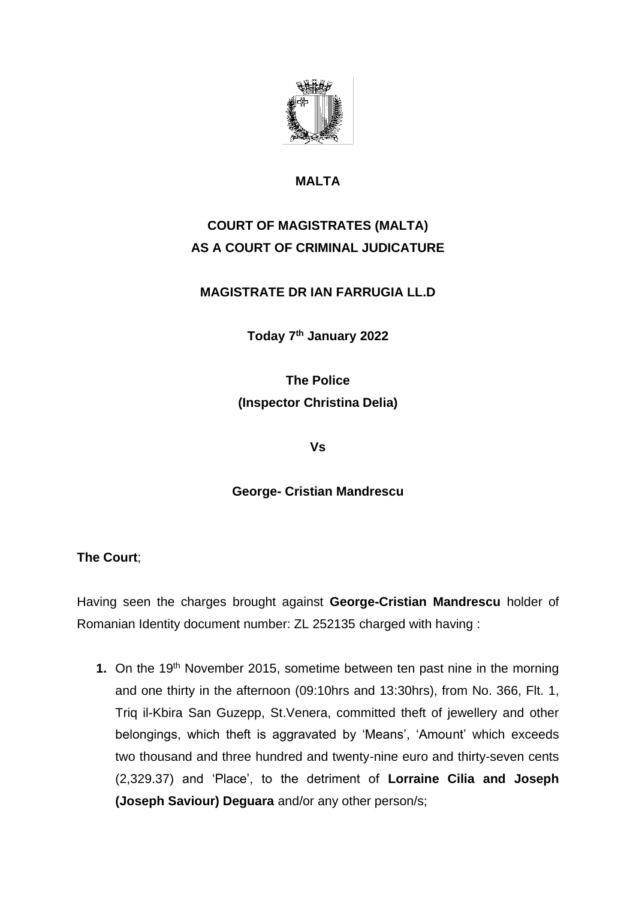

# **MALTA**

# **COURT OF MAGISTRATES (MALTA) AS A COURT OF CRIMINAL JUDICATURE**

## **MAGISTRATE DR IAN FARRUGIA LL.D**

**Today 7 th January 2022**

**The Police (Inspector Christina Delia)**

**Vs**

**George- Cristian Mandrescu**

## **The Court**;

Having seen the charges brought against **George-Cristian Mandrescu** holder of Romanian Identity document number: ZL 252135 charged with having :

**1.** On the 19<sup>th</sup> November 2015, sometime between ten past nine in the morning and one thirty in the afternoon (09:10hrs and 13:30hrs), from No. 366, Flt. 1, Triq il-Kbira San Guzepp, St.Venera, committed theft of jewellery and other belongings, which theft is aggravated by 'Means', 'Amount' which exceeds two thousand and three hundred and twenty-nine euro and thirty-seven cents (2,329.37) and 'Place', to the detriment of **Lorraine Cilia and Joseph (Joseph Saviour) Deguara** and/or any other person/s;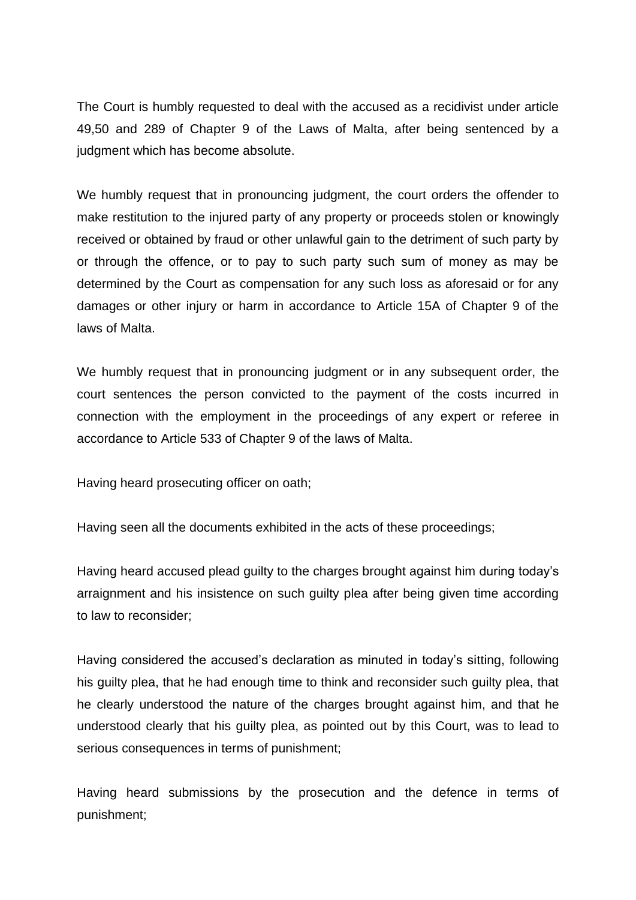The Court is humbly requested to deal with the accused as a recidivist under article 49,50 and 289 of Chapter 9 of the Laws of Malta, after being sentenced by a judgment which has become absolute.

We humbly request that in pronouncing judgment, the court orders the offender to make restitution to the injured party of any property or proceeds stolen or knowingly received or obtained by fraud or other unlawful gain to the detriment of such party by or through the offence, or to pay to such party such sum of money as may be determined by the Court as compensation for any such loss as aforesaid or for any damages or other injury or harm in accordance to Article 15A of Chapter 9 of the laws of Malta.

We humbly request that in pronouncing judgment or in any subsequent order, the court sentences the person convicted to the payment of the costs incurred in connection with the employment in the proceedings of any expert or referee in accordance to Article 533 of Chapter 9 of the laws of Malta.

Having heard prosecuting officer on oath;

Having seen all the documents exhibited in the acts of these proceedings;

Having heard accused plead guilty to the charges brought against him during today's arraignment and his insistence on such guilty plea after being given time according to law to reconsider;

Having considered the accused's declaration as minuted in today's sitting, following his guilty plea, that he had enough time to think and reconsider such guilty plea, that he clearly understood the nature of the charges brought against him, and that he understood clearly that his guilty plea, as pointed out by this Court, was to lead to serious consequences in terms of punishment;

Having heard submissions by the prosecution and the defence in terms of punishment;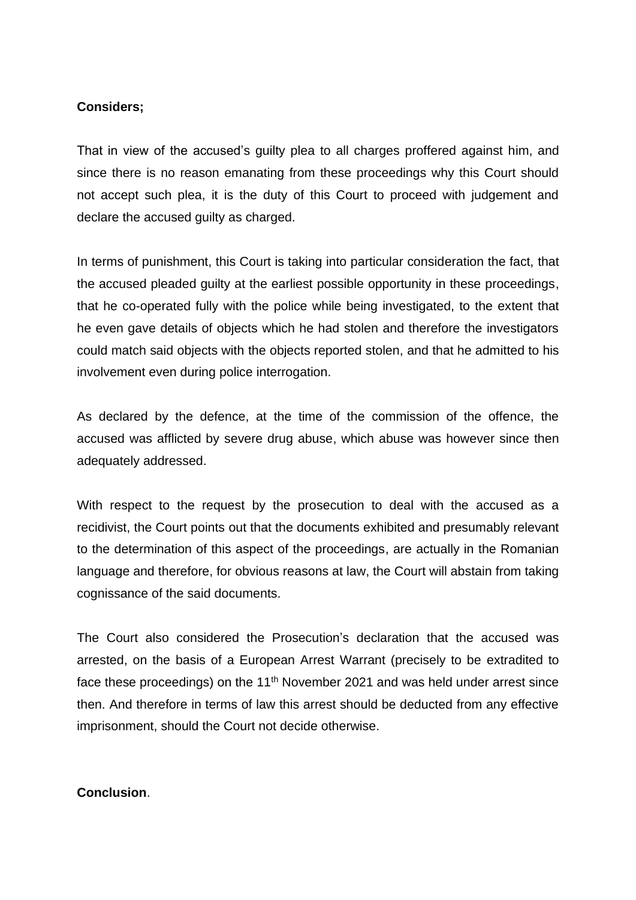### **Considers;**

That in view of the accused's guilty plea to all charges proffered against him, and since there is no reason emanating from these proceedings why this Court should not accept such plea, it is the duty of this Court to proceed with judgement and declare the accused guilty as charged.

In terms of punishment, this Court is taking into particular consideration the fact, that the accused pleaded guilty at the earliest possible opportunity in these proceedings, that he co-operated fully with the police while being investigated, to the extent that he even gave details of objects which he had stolen and therefore the investigators could match said objects with the objects reported stolen, and that he admitted to his involvement even during police interrogation.

As declared by the defence, at the time of the commission of the offence, the accused was afflicted by severe drug abuse, which abuse was however since then adequately addressed.

With respect to the request by the prosecution to deal with the accused as a recidivist, the Court points out that the documents exhibited and presumably relevant to the determination of this aspect of the proceedings, are actually in the Romanian language and therefore, for obvious reasons at law, the Court will abstain from taking cognissance of the said documents.

The Court also considered the Prosecution's declaration that the accused was arrested, on the basis of a European Arrest Warrant (precisely to be extradited to face these proceedings) on the 11<sup>th</sup> November 2021 and was held under arrest since then. And therefore in terms of law this arrest should be deducted from any effective imprisonment, should the Court not decide otherwise.

### **Conclusion**.